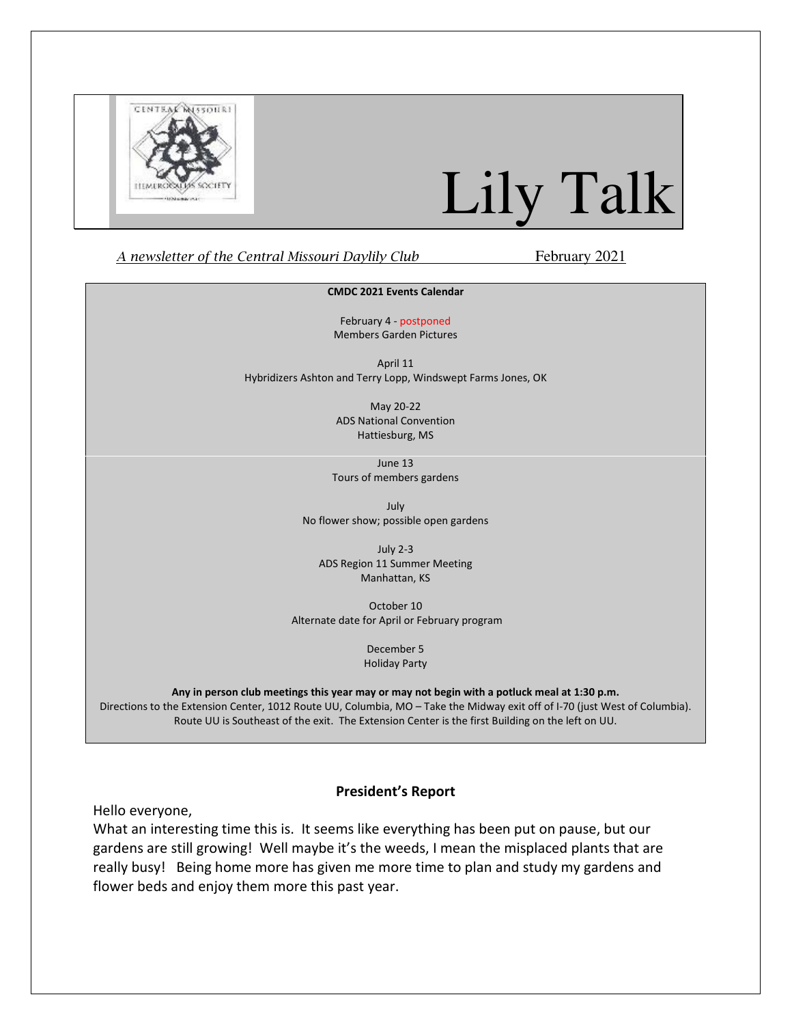

# Lily Talk

### A newsletter of the Central Missouri Daylily Club February 2021

#### CMDC 2021 Events Calendar

February 4 - postponed Members Garden Pictures

April 11 Hybridizers Ashton and Terry Lopp, Windswept Farms Jones, OK

> May 20-22 ADS National Convention Hattiesburg, MS

June 13 Tours of members gardens

July No flower show; possible open gardens

July 2-3 ADS Region 11 Summer Meeting Manhattan, KS

October 10 Alternate date for April or February program

> December 5 Holiday Party

Any in person club meetings this year may or may not begin with a potluck meal at 1:30 p.m. Directions to the Extension Center, 1012 Route UU, Columbia, MO – Take the Midway exit off of I-70 (just West of Columbia). Route UU is Southeast of the exit. The Extension Center is the first Building on the left on UU.

# President's Report

Hello everyone,

What an interesting time this is. It seems like everything has been put on pause, but our gardens are still growing! Well maybe it's the weeds, I mean the misplaced plants that are really busy! Being home more has given me more time to plan and study my gardens and flower beds and enjoy them more this past year.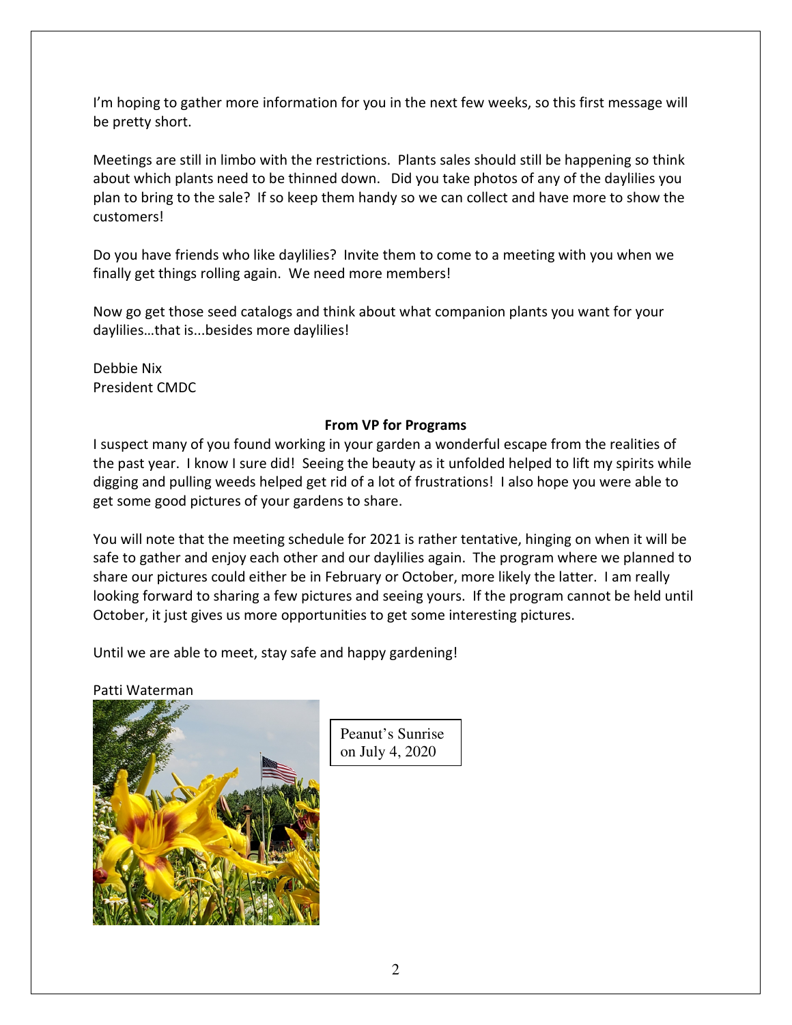I'm hoping to gather more information for you in the next few weeks, so this first message will be pretty short.

Meetings are still in limbo with the restrictions. Plants sales should still be happening so think about which plants need to be thinned down. Did you take photos of any of the daylilies you plan to bring to the sale? If so keep them handy so we can collect and have more to show the customers!

Do you have friends who like daylilies? Invite them to come to a meeting with you when we finally get things rolling again. We need more members!

Now go get those seed catalogs and think about what companion plants you want for your daylilies…that is...besides more daylilies!

Debbie Nix President CMDC

# From VP for Programs

I suspect many of you found working in your garden a wonderful escape from the realities of the past year. I know I sure did! Seeing the beauty as it unfolded helped to lift my spirits while digging and pulling weeds helped get rid of a lot of frustrations! I also hope you were able to get some good pictures of your gardens to share.

You will note that the meeting schedule for 2021 is rather tentative, hinging on when it will be safe to gather and enjoy each other and our daylilies again. The program where we planned to share our pictures could either be in February or October, more likely the latter. I am really looking forward to sharing a few pictures and seeing yours. If the program cannot be held until October, it just gives us more opportunities to get some interesting pictures.

Until we are able to meet, stay safe and happy gardening!

# Patti Waterman



Peanut's Sunrise on July 4, 2020